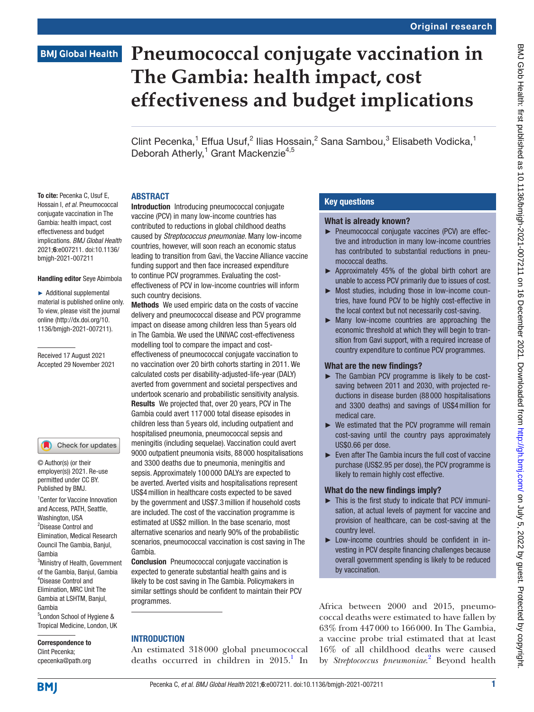## **BMJ Global Health**

# **Pneumococcal conjugate vaccination in The Gambia: health impact, cost effectiveness and budget implications**

Clint Pecenka,<sup>1</sup> Effua Usuf,<sup>2</sup> Ilias Hossain,<sup>2</sup> Sana Sambou,<sup>3</sup> Elisabeth Vodicka,<sup>1</sup> Deborah Atherly,<sup>1</sup> Grant Mackenzie<sup>4,5</sup>

#### ABSTRACT

To cite: Pecenka C, Usuf E, Hossain I, *et al*. Pneumococcal conjugate vaccination in The Gambia: health impact, cost effectiveness and budget implications. *BMJ Global Health* 2021;6:e007211. doi:10.1136/ bmjgh-2021-007211

#### Handling editor Seye Abimbola

► Additional supplemental material is published online only. To view, please visit the journal online ([http://dx.doi.org/10.](http://dx.doi.org/10.1136/bmjgh-2021-007211) [1136/bmjgh-2021-007211](http://dx.doi.org/10.1136/bmjgh-2021-007211)).

Received 17 August 2021 Accepted 29 November 2021



© Author(s) (or their employer(s)) 2021. Re-use permitted under CC BY. Published by BMJ.

1 Center for Vaccine Innovation and Access, PATH, Seattle, Washington, USA 2 Disease Control and Elimination, Medical Research Council The Gambia, Banjul, Gambia 3 Ministry of Health, Government of the Gambia, Banjul, Gambia 4 Disease Control and Elimination, MRC Unit The Gambia at LSHTM, Banjul, Gambia 5 London School of Hygiene & Tropical Medicine, London, UK

Correspondence to Clint Pecenka; cpecenka@path.org Introduction Introducing pneumococcal conjugate vaccine (PCV) in many low-income countries has contributed to reductions in global childhood deaths caused by *Streptococcus pneumoniae*. Many low-income countries, however, will soon reach an economic status leading to transition from Gavi, the Vaccine Alliance vaccine funding support and then face increased expenditure to continue PCV programmes. Evaluating the costeffectiveness of PCV in low-income countries will inform such country decisions.

Methods We used empiric data on the costs of vaccine delivery and pneumococcal disease and PCV programme impact on disease among children less than 5 years old in The Gambia. We used the UNIVAC cost-effectiveness modelling tool to compare the impact and costeffectiveness of pneumococcal conjugate vaccination to no vaccination over 20 birth cohorts starting in 2011. We calculated costs per disability-adjusted-life-year (DALY) averted from government and societal perspectives and undertook scenario and probabilistic sensitivity analysis. Results We projected that, over 20 years, PCV in The Gambia could avert 117 000 total disease episodes in children less than 5 years old, including outpatient and hospitalised pneumonia, pneumococcal sepsis and meningitis (including sequelae). Vaccination could avert 9000 outpatient pneumonia visits, 88 000 hospitalisations and 3300 deaths due to pneumonia, meningitis and sepsis. Approximately 100 000 DALYs are expected to be averted. Averted visits and hospitalisations represent US\$4million in healthcare costs expected to be saved by the government and US\$7.3million if household costs are included. The cost of the vaccination programme is estimated at US\$2 million. In the base scenario, most alternative scenarios and nearly 90% of the probabilistic scenarios, pneumococcal vaccination is cost saving in The Gambia.

Conclusion Pneumococcal conjugate vaccination is expected to generate substantial health gains and is likely to be cost saving in The Gambia. Policymakers in similar settings should be confident to maintain their PCV programmes.

#### INTRODUCTION

An estimated 318000 global pneumococcal deaths occurred in children in  $2015$  $2015$  $2015$ .<sup>1</sup> In

#### Key questions

#### What is already known?

- ► Pneumococcal conjugate vaccines (PCV) are effective and introduction in many low-income countries has contributed to substantial reductions in pneumococcal deaths.
- ► Approximately 45% of the global birth cohort are unable to access PCV primarily due to issues of cost.
- ► Most studies, including those in low-income countries, have found PCV to be highly cost-effective in the local context but not necessarily cost-saving.
- ► Many low-income countries are approaching the economic threshold at which they will begin to transition from Gavi support, with a required increase of country expenditure to continue PCV programmes.

#### What are the new findings?

- ► The Gambian PCV programme is likely to be costsaving between 2011 and 2030, with projected reductions in disease burden (88 000 hospitalisations and 3300 deaths) and savings of US\$4million for medical care.
- $\triangleright$  We estimated that the PCV programme will remain cost-saving until the country pays approximately US\$0.66 per dose.
- ► Even after The Gambia incurs the full cost of vaccine purchase (US\$2.95 per dose), the PCV programme is likely to remain highly cost effective.

#### What do the new findings imply?

- ► This is the first study to indicate that PCV immunisation, at actual levels of payment for vaccine and provision of healthcare, can be cost-saving at the country level.
- ► Low-income countries should be confident in investing in PCV despite financing challenges because overall government spending is likely to be reduced by vaccination.

Africa between 2000 and 2015, pneumococcal deaths were estimated to have fallen by 63% from 447000 to 166000. In The Gambia, a vaccine probe trial estimated that at least 16% of all childhood deaths were caused by *Streptococcus pneumoniae*.<sup>[2](#page-9-1)</sup> Beyond health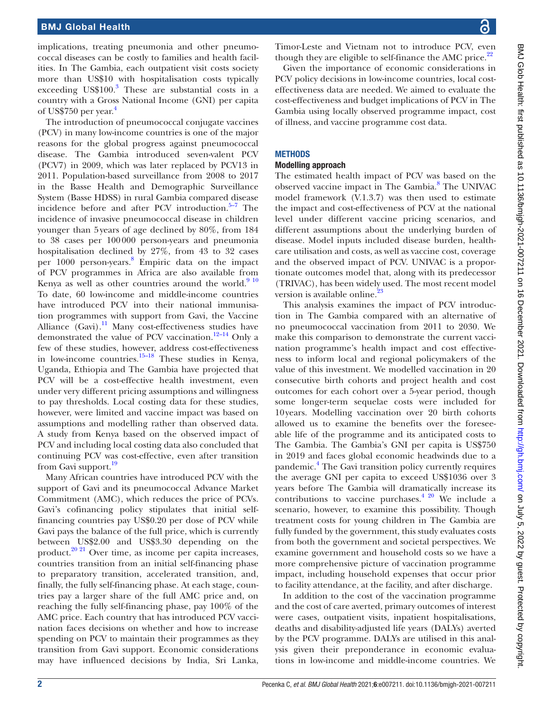implications, treating pneumonia and other pneumococcal diseases can be costly to families and health facilities. In The Gambia, each outpatient visit costs society more than US\$10 with hospitalisation costs typically exceeding US\$100.<sup>[3](#page-9-2)</sup> These are substantial costs in a country with a Gross National Income (GNI) per capita of US\$750 per year. $4$ 

The introduction of pneumococcal conjugate vaccines (PCV) in many low-income countries is one of the major reasons for the global progress against pneumococcal disease. The Gambia introduced seven-valent PCV (PCV7) in 2009, which was later replaced by PCV13 in 2011. Population-based surveillance from 2008 to 2017 in the Basse Health and Demographic Surveillance System (Basse HDSS) in rural Gambia compared disease incidence before and after PCV introduction. $5-7$  The incidence of invasive pneumococcal disease in children younger than 5years of age declined by 80%, from 184 to 38 cases per 100000 person-years and pneumonia hospitalisation declined by 27%, from 43 to 32 cases per 1000 person-years. [8](#page-9-5) Empiric data on the impact of PCV programmes in Africa are also available from Kenya as well as other countries around the world. $910$ To date, 60 low-income and middle-income countries have introduced PCV into their national immunisation programmes with support from Gavi, the Vaccine Alliance  $(Gavi)$ <sup>[11](#page-9-7)</sup> Many cost-effectiveness studies have demonstrated the value of PCV vaccination.<sup>12–14</sup> Only a few of these studies, however, address cost-effectiveness in low-income countries.[15–18](#page-9-9) These studies in Kenya, Uganda, Ethiopia and The Gambia have projected that PCV will be a cost-effective health investment, even under very different pricing assumptions and willingness to pay thresholds. Local costing data for these studies, however, were limited and vaccine impact was based on assumptions and modelling rather than observed data. A study from Kenya based on the observed impact of PCV and including local costing data also concluded that continuing PCV was cost-effective, even after transition from Gavi support.<sup>[19](#page-9-10)</sup>

Many African countries have introduced PCV with the support of Gavi and its pneumococcal Advance Market Commitment (AMC), which reduces the price of PCVs. Gavi's cofinancing policy stipulates that initial selffinancing countries pay US\$0.20 per dose of PCV while Gavi pays the balance of the full price, which is currently between US\$2.00 and US\$3.30 depending on the product. $20\frac{2}{1}$  Over time, as income per capita increases, countries transition from an initial self-financing phase to preparatory transition, accelerated transition, and, finally, the fully self-financing phase. At each stage, countries pay a larger share of the full AMC price and, on reaching the fully self-financing phase, pay 100% of the AMC price. Each country that has introduced PCV vaccination faces decisions on whether and how to increase spending on PCV to maintain their programmes as they transition from Gavi support. Economic considerations may have influenced decisions by India, Sri Lanka,

Timor-Leste and Vietnam not to introduce PCV, even though they are eligible to self-finance the AMC price. $2^2$ 

Given the importance of economic considerations in PCV policy decisions in low-income countries, local costeffectiveness data are needed. We aimed to evaluate the cost-effectiveness and budget implications of PCV in The Gambia using locally observed programme impact, cost of illness, and vaccine programme cost data.

#### **METHODS**

#### Modelling approach

The estimated health impact of PCV was based on the observed vaccine impact in The Gambia.<sup>[8](#page-9-5)</sup> The UNIVAC model framework (V.1.3.7) was then used to estimate the impact and cost-effectiveness of PCV at the national level under different vaccine pricing scenarios, and different assumptions about the underlying burden of disease. Model inputs included disease burden, healthcare utilisation and costs, as well as vaccine cost, coverage and the observed impact of PCV. UNIVAC is a proportionate outcomes model that, along with its predecessor (TRIVAC), has been widely used. The most recent model version is available online. $^{23}$  $^{23}$  $^{23}$ 

This analysis examines the impact of PCV introduction in The Gambia compared with an alternative of no pneumococcal vaccination from 2011 to 2030. We make this comparison to demonstrate the current vaccination programme's health impact and cost effectiveness to inform local and regional policymakers of the value of this investment. We modelled vaccination in 20 consecutive birth cohorts and project health and cost outcomes for each cohort over a 5-year period, though some longer-term sequelae costs were included for 10years. Modelling vaccination over 20 birth cohorts allowed us to examine the benefits over the foreseeable life of the programme and its anticipated costs to The Gambia. The Gambia's GNI per capita is US\$750 in 2019 and faces global economic headwinds due to a pandemic.<sup>[4](#page-9-3)</sup> The Gavi transition policy currently requires the average GNI per capita to exceed US\$1036 over 3 years before The Gambia will dramatically increase its contributions to vaccine purchases. $4^{20}$  We include a scenario, however, to examine this possibility. Though treatment costs for young children in The Gambia are fully funded by the government, this study evaluates costs from both the government and societal perspectives. We examine government and household costs so we have a more comprehensive picture of vaccination programme impact, including household expenses that occur prior to facility attendance, at the facility, and after discharge.

In addition to the cost of the vaccination programme and the cost of care averted, primary outcomes of interest were cases, outpatient visits, inpatient hospitalisations, deaths and disability-adjusted life years (DALYs) averted by the PCV programme. DALYs are utilised in this analysis given their preponderance in economic evaluations in low-income and middle-income countries. We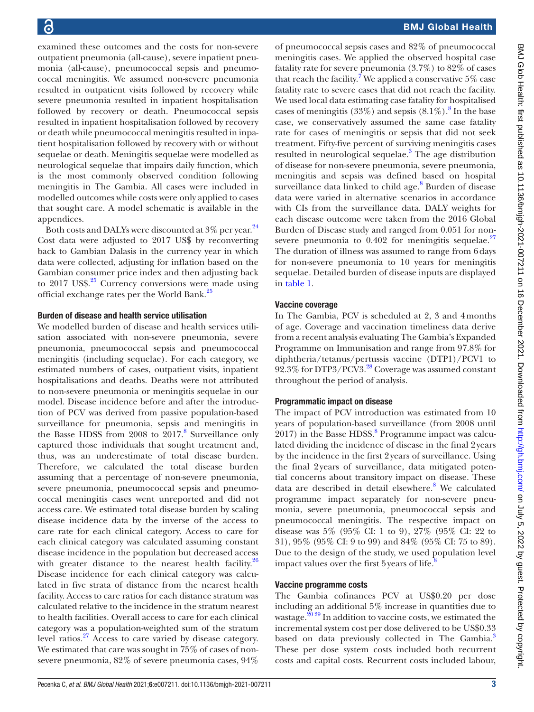examined these outcomes and the costs for non-severe outpatient pneumonia (all-cause), severe inpatient pneumonia (all-cause), pneumococcal sepsis and pneumococcal meningitis. We assumed non-severe pneumonia resulted in outpatient visits followed by recovery while severe pneumonia resulted in inpatient hospitalisation followed by recovery or death. Pneumococcal sepsis resulted in inpatient hospitalisation followed by recovery or death while pneumococcal meningitis resulted in inpatient hospitalisation followed by recovery with or without sequelae or death. Meningitis sequelae were modelled as neurological sequelae that impairs daily function, which is the most commonly observed condition following meningitis in The Gambia. All cases were included in modelled outcomes while costs were only applied to cases that sought care. A model schematic is available in the appendices.

Both costs and DALYs were discounted at 3% per year.<sup>[24](#page-9-14)</sup> Cost data were adjusted to 2017 US\$ by reconverting back to Gambian Dalasis in the currency year in which data were collected, adjusting for inflation based on the Gambian consumer price index and then adjusting back to  $2017 \text{ US}$ \$.<sup>25</sup> Currency conversions were made using official exchange rates per the World Bank.[25](#page-9-15)

#### Burden of disease and health service utilisation

We modelled burden of disease and health services utilisation associated with non-severe pneumonia, severe pneumonia, pneumococcal sepsis and pneumococcal meningitis (including sequelae). For each category, we estimated numbers of cases, outpatient visits, inpatient hospitalisations and deaths. Deaths were not attributed to non-severe pneumonia or meningitis sequelae in our model. Disease incidence before and after the introduction of PCV was derived from passive population-based surveillance for pneumonia, sepsis and meningitis in the Basse HDSS from  $2008$  $2008$  to  $2017.8$  Surveillance only captured those individuals that sought treatment and, thus, was an underestimate of total disease burden. Therefore, we calculated the total disease burden assuming that a percentage of non-severe pneumonia, severe pneumonia, pneumococcal sepsis and pneumococcal meningitis cases went unreported and did not access care. We estimated total disease burden by scaling disease incidence data by the inverse of the access to care rate for each clinical category. Access to care for each clinical category was calculated assuming constant disease incidence in the population but decreased access with greater distance to the nearest health facility. $26$ Disease incidence for each clinical category was calculated in five strata of distance from the nearest health facility. Access to care ratios for each distance stratum was calculated relative to the incidence in the stratum nearest to health facilities. Overall access to care for each clinical category was a population-weighted sum of the stratum level ratios.<sup>[27](#page-9-17)</sup> Access to care varied by disease category. We estimated that care was sought in 75% of cases of nonsevere pneumonia, 82% of severe pneumonia cases, 94%

of pneumococcal sepsis cases and 82% of pneumococcal meningitis cases. We applied the observed hospital case fatality rate for severe pneumonia (3.7%) to 82% of cases that reach the facility.<sup>[7](#page-9-18)</sup> We applied a conservative 5% case fatality rate to severe cases that did not reach the facility. We used local data estimating case fatality for hospitalised cases of meningitis (33%) and sepsis  $(8.1\%)$  $(8.1\%)$  $(8.1\%)$ .<sup>8</sup> In the base case, we conservatively assumed the same case fatality rate for cases of meningitis or sepsis that did not seek treatment. Fifty-five percent of surviving meningitis cases resulted in neurological sequelae.<sup>[3](#page-9-2)</sup> The age distribution of disease for non-severe pneumonia, severe pneumonia, meningitis and sepsis was defined based on hospital surveillance data linked to child age.<sup>8</sup> Burden of disease data were varied in alternative scenarios in accordance with CIs from the surveillance data. DALY weights for each disease outcome were taken from the 2016 Global Burden of Disease study and ranged from 0.051 for nonsevere pneumonia to  $0.402$  for meningitis sequelae.<sup>[27](#page-9-17)</sup> The duration of illness was assumed to range from 6days for non-severe pneumonia to 10 years for meningitis sequelae. Detailed burden of disease inputs are displayed in [table](#page-3-0) 1.

#### Vaccine coverage

In The Gambia, PCV is scheduled at 2, 3 and 4months of age. Coverage and vaccination timeliness data derive from a recent analysis evaluating The Gambia's Expanded Programme on Immunisation and range from 97.8% for diphtheria/tetanus/pertussis vaccine (DTP1)/PCV1 to 92.3% for DTP3/PCV3.[28](#page-9-19) Coverage was assumed constant throughout the period of analysis.

#### Programmatic impact on disease

The impact of PCV introduction was estimated from 10 years of population-based surveillance (from 2008 until  $2017$ ) in the Basse HDSS. $8$  Programme impact was calculated dividing the incidence of disease in the final 2years by the incidence in the first 2years of surveillance. Using the final 2years of surveillance, data mitigated potential concerns about transitory impact on disease. These data are described in detail elsewhere.<sup>[8](#page-9-5)</sup> We calculated programme impact separately for non-severe pneumonia, severe pneumonia, pneumococcal sepsis and pneumococcal meningitis. The respective impact on disease was 5% (95% CI: 1 to 9), 27% (95% CI: 22 to 31), 95% (95% CI: 9 to 99) and 84% (95% CI: 75 to 89). Due to the design of the study, we used population level impact values over the first 5 years of life. $\delta$ 

#### Vaccine programme costs

The Gambia cofinances PCV at US\$0.20 per dose including an additional 5% increase in quantities due to wastage.<sup>20 29</sup> In addition to vaccine costs, we estimated the incremental system cost per dose delivered to be US\$0.33 based on data previously collected in The Gambia.<sup>[3](#page-9-2)</sup> These per dose system costs included both recurrent costs and capital costs. Recurrent costs included labour,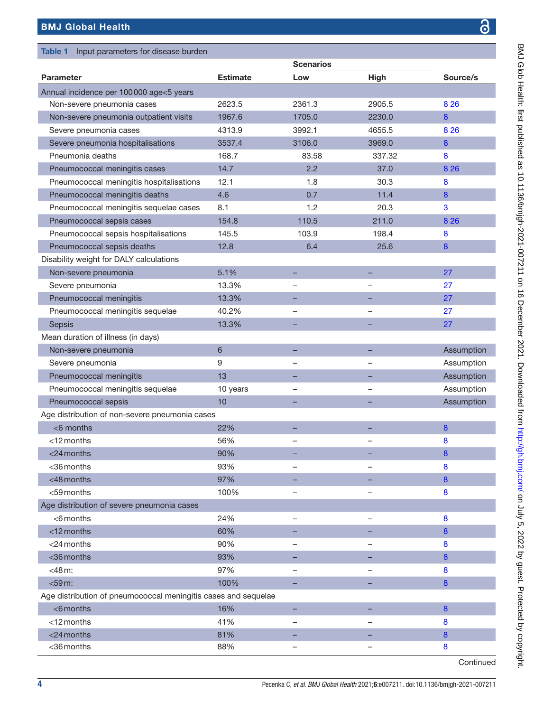<span id="page-3-0"></span>Table 1 Input parameters for disease burden

| <b>Estimate</b> | Low                                                                                            | <b>High</b>                                                    |            |
|-----------------|------------------------------------------------------------------------------------------------|----------------------------------------------------------------|------------|
|                 |                                                                                                |                                                                | Source/s   |
|                 |                                                                                                |                                                                |            |
| 2623.5          | 2361.3                                                                                         | 2905.5                                                         | 8 2 6      |
| 1967.6          | 1705.0                                                                                         | 2230.0                                                         | 8          |
| 4313.9          | 3992.1                                                                                         | 4655.5                                                         | 8 2 6      |
| 3537.4          | 3106.0                                                                                         | 3969.0                                                         | 8          |
| 168.7           | 83.58                                                                                          | 337.32                                                         | 8          |
| 14.7            | 2.2                                                                                            | 37.0                                                           | 8 2 6      |
| 12.1            | 1.8                                                                                            | 30.3                                                           | 8          |
| 4.6             | 0.7                                                                                            | 11.4                                                           | 8          |
| 8.1             | 1.2                                                                                            | 20.3                                                           | 3          |
| 154.8           | 110.5                                                                                          | 211.0                                                          | 8 2 6      |
| 145.5           | 103.9                                                                                          | 198.4                                                          | 8          |
| 12.8            | 6.4                                                                                            | 25.6                                                           | 8          |
|                 |                                                                                                |                                                                |            |
| 5.1%            |                                                                                                |                                                                | 27         |
| 13.3%           |                                                                                                |                                                                | 27         |
| 13.3%           |                                                                                                |                                                                | 27         |
| 40.2%           |                                                                                                |                                                                | 27         |
| 13.3%           |                                                                                                |                                                                | 27         |
|                 |                                                                                                |                                                                |            |
| 6               |                                                                                                |                                                                | Assumption |
| 9               |                                                                                                |                                                                | Assumption |
| 13              |                                                                                                |                                                                | Assumption |
|                 | $\overline{\phantom{0}}$                                                                       |                                                                | Assumption |
| 10              |                                                                                                |                                                                | Assumption |
|                 |                                                                                                |                                                                |            |
| 22%             |                                                                                                |                                                                | 8          |
| 56%             |                                                                                                |                                                                | 8          |
| 90%             |                                                                                                |                                                                | 8          |
| 93%             |                                                                                                |                                                                | 8          |
| 97%             |                                                                                                |                                                                | 8          |
| 100%            |                                                                                                |                                                                | 8          |
|                 |                                                                                                |                                                                |            |
| 24%             | -                                                                                              | -                                                              | 8          |
| 60%             |                                                                                                |                                                                | 8          |
| 90%             |                                                                                                |                                                                | 8          |
| 93%             |                                                                                                |                                                                | 8          |
| 97%             |                                                                                                |                                                                | 8          |
|                 |                                                                                                |                                                                | 8          |
|                 |                                                                                                |                                                                |            |
|                 |                                                                                                |                                                                | 8          |
|                 |                                                                                                |                                                                | 8          |
|                 |                                                                                                |                                                                | 8          |
|                 |                                                                                                |                                                                | 8          |
|                 | 10 years<br>Age distribution of non-severe pneumonia cases<br>100%<br>16%<br>41%<br>81%<br>88% | Age distribution of pneumococcal meningitis cases and sequelae |            |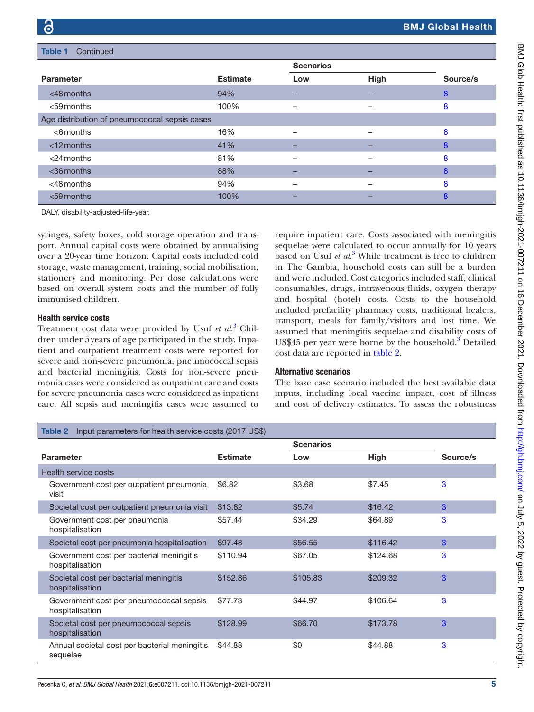| $1900 - 1$                                    |                 |                  |                          |          |
|-----------------------------------------------|-----------------|------------------|--------------------------|----------|
|                                               |                 | <b>Scenarios</b> |                          |          |
| <b>Parameter</b>                              | <b>Estimate</b> | Low              | <b>High</b>              | Source/s |
| $<$ 48 months                                 | 94%             |                  |                          | 8        |
| $<$ 59 months                                 | 100%            | -                | -                        | 8        |
| Age distribution of pneumococcal sepsis cases |                 |                  |                          |          |
| $<$ 6 months                                  | 16%             |                  |                          | 8        |
| $<$ 12 months                                 | 41%             |                  |                          | 8        |
| $<$ 24 months                                 | 81%             |                  | $\overline{\phantom{0}}$ | 8        |
| $<$ 36 months                                 | 88%             |                  |                          | 8        |
| $<$ 48 months                                 | 94%             | -                | -                        | 8        |
| $<$ 59 months                                 | 100%            |                  |                          | 8        |

DALY, disability-adjusted-life-year.

Continued

syringes, safety boxes, cold storage operation and transport. Annual capital costs were obtained by annualising over a 20-year time horizon. Capital costs included cold storage, waste management, training, social mobilisation, stationery and monitoring. Per dose calculations were based on overall system costs and the number of fully immunised children.

#### Health service costs

Treatment cost data were provided by Usuf *et al*. [3](#page-9-2) Children under 5years of age participated in the study. Inpatient and outpatient treatment costs were reported for severe and non-severe pneumonia, pneumococcal sepsis and bacterial meningitis. Costs for non-severe pneumonia cases were considered as outpatient care and costs for severe pneumonia cases were considered as inpatient care. All sepsis and meningitis cases were assumed to

require inpatient care. Costs associated with meningitis sequelae were calculated to occur annually for 10 years based on Usuf *et al*. [3](#page-9-2) While treatment is free to children in The Gambia, household costs can still be a burden and were included. Cost categories included staff, clinical consumables, drugs, intravenous fluids, oxygen therapy and hospital (hotel) costs. Costs to the household included prefacility pharmacy costs, traditional healers, transport, meals for family/visitors and lost time. We assumed that meningitis sequelae and disability costs of US\$45 per year were borne by the household.<sup>[3](#page-9-2)</sup> Detailed cost data are reported in [table](#page-4-0) 2.

#### Alternative scenarios

The base case scenario included the best available data inputs, including local vaccine impact, cost of illness and cost of delivery estimates. To assess the robustness

<span id="page-4-0"></span>

| Input parameters for health service costs (2017 US\$)<br>Table 2 |                 |                  |             |          |  |
|------------------------------------------------------------------|-----------------|------------------|-------------|----------|--|
|                                                                  |                 | <b>Scenarios</b> |             |          |  |
| <b>Parameter</b>                                                 | <b>Estimate</b> | Low              | <b>High</b> | Source/s |  |
| Health service costs                                             |                 |                  |             |          |  |
| Government cost per outpatient pneumonia<br>visit                | \$6.82          | \$3.68           | \$7.45      | 3        |  |
| Societal cost per outpatient pneumonia visit                     | \$13.82         | \$5.74           | \$16.42     | 3        |  |
| Government cost per pneumonia<br>hospitalisation                 | \$57.44         | \$34.29          | \$64.89     | 3        |  |
| Societal cost per pneumonia hospitalisation                      | \$97.48         | \$56.55          | \$116.42    | 3        |  |
| Government cost per bacterial meningitis<br>hospitalisation      | \$110.94        | \$67.05          | \$124.68    | 3        |  |
| Societal cost per bacterial meningitis<br>hospitalisation        | \$152.86        | \$105.83         | \$209.32    | 3        |  |
| Government cost per pneumococcal sepsis<br>hospitalisation       | \$77.73         | \$44.97          | \$106.64    | 3        |  |
| Societal cost per pneumococcal sepsis<br>hospitalisation         | \$128.99        | \$66,70          | \$173.78    | 3        |  |
| Annual societal cost per bacterial meningitis<br>sequelae        | \$44.88         | \$0              | \$44.88     | 3        |  |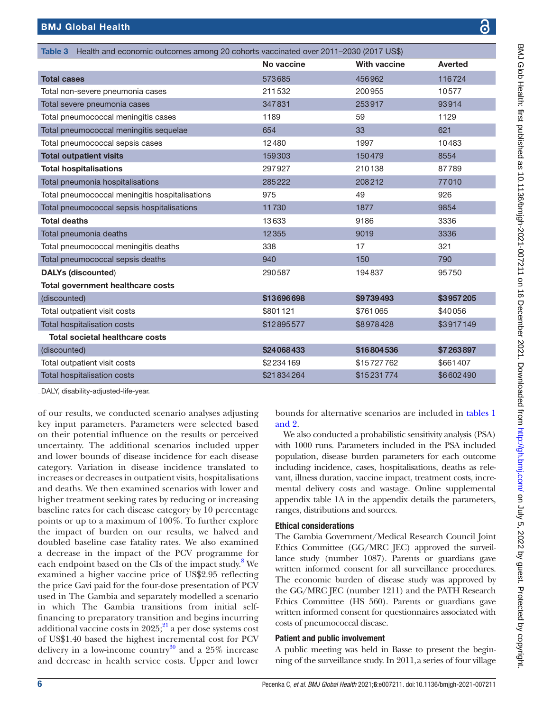<span id="page-5-0"></span>

| <b>Table 3</b> Health and economic outcomes among 20 cohorts vaccinated over 2011–2030 (2017 US\$) |            |                     |                |  |
|----------------------------------------------------------------------------------------------------|------------|---------------------|----------------|--|
|                                                                                                    | No vaccine | <b>With vaccine</b> | <b>Averted</b> |  |
| <b>Total cases</b>                                                                                 | 573685     | 456962              | 116724         |  |
| Total non-severe pneumonia cases                                                                   | 211532     | 200955              | 10577          |  |
| Total severe pneumonia cases                                                                       | 347831     | 253917              | 93914          |  |
| Total pneumococcal meningitis cases                                                                | 1189       | 59                  | 1129           |  |
| Total pneumococcal meningitis sequelae                                                             | 654        | 33                  | 621            |  |
| Total pneumococcal sepsis cases                                                                    | 12480      | 1997                | 10483          |  |
| <b>Total outpatient visits</b>                                                                     | 159303     | 150479              | 8554           |  |
| <b>Total hospitalisations</b>                                                                      | 297927     | 210138              | 87789          |  |
| Total pneumonia hospitalisations                                                                   | 285222     | 208212              | 77010          |  |
| Total pneumococcal meningitis hospitalisations                                                     | 975        | 49                  | 926            |  |
| Total pneumococcal sepsis hospitalisations                                                         | 11730      | 1877                | 9854           |  |
| <b>Total deaths</b>                                                                                | 13633      | 9186                | 3336           |  |
| Total pneumonia deaths                                                                             | 12355      | 9019                | 3336           |  |
| Total pneumococcal meningitis deaths                                                               | 338        | 17                  | 321            |  |
| Total pneumococcal sepsis deaths                                                                   | 940        | 150                 | 790            |  |
| <b>DALYs (discounted)</b>                                                                          | 290587     | 194837              | 95750          |  |
| <b>Total government healthcare costs</b>                                                           |            |                     |                |  |
| (discounted)                                                                                       | \$13696698 | \$9739493           | \$3957205      |  |
| Total outpatient visit costs                                                                       | \$801121   | \$761065            | \$40056        |  |
| Total hospitalisation costs                                                                        | \$12895577 | \$8978428           | \$3917149      |  |
| <b>Total societal healthcare costs</b>                                                             |            |                     |                |  |
| (discounted)                                                                                       | \$24068433 | \$16804536          | \$7263897      |  |
| Total outpatient visit costs                                                                       | \$2234169  | \$15727762          | \$661407       |  |
| <b>Total hospitalisation costs</b>                                                                 | \$21834264 | \$15231774          | \$6602490      |  |

DALY, disability-adjusted-life-year.

of our results, we conducted scenario analyses adjusting key input parameters. Parameters were selected based on their potential influence on the results or perceived uncertainty. The additional scenarios included upper and lower bounds of disease incidence for each disease category. Variation in disease incidence translated to increases or decreases in outpatient visits, hospitalisations and deaths. We then examined scenarios with lower and higher treatment seeking rates by reducing or increasing baseline rates for each disease category by 10 percentage points or up to a maximum of 100%. To further explore the impact of burden on our results, we halved and doubled baseline case fatality rates. We also examined a decrease in the impact of the PCV programme for each endpoint based on the CIs of the impact study.<sup>[8](#page-9-5)</sup> We examined a higher vaccine price of US\$2.95 reflecting the price Gavi paid for the four-dose presentation of PCV used in The Gambia and separately modelled a scenario in which The Gambia transitions from initial selffinancing to preparatory transition and begins incurring additional vaccine costs in  $2025$ ;<sup>21</sup> a per dose systems cost of US\$1.40 based the highest incremental cost for PCV delivery in a low-income country<sup>[30](#page-10-0)</sup> and a  $25\%$  increase and decrease in health service costs. Upper and lower

bounds for alternative scenarios are included in [tables](#page-3-0) 1 [and 2](#page-3-0).

We also conducted a probabilistic sensitivity analysis (PSA) with 1000 runs. Parameters included in the PSA included population, disease burden parameters for each outcome including incidence, cases, hospitalisations, deaths as relevant, illness duration, vaccine impact, treatment costs, incremental delivery costs and wastage. [Online supplemental](https://dx.doi.org/10.1136/bmjgh-2021-007211) [appendix table 1A](https://dx.doi.org/10.1136/bmjgh-2021-007211) in the appendix details the parameters, ranges, distributions and sources.

#### Ethical considerations

The Gambia Government/Medical Research Council Joint Ethics Committee (GG/MRC JEC) approved the surveillance study (number 1087). Parents or guardians gave written informed consent for all surveillance procedures. The economic burden of disease study was approved by the GG/MRC JEC (number 1211) and the PATH Research Ethics Committee (HS 560). Parents or guardians gave written informed consent for questionnaires associated with costs of pneumococcal disease.

#### Patient and public involvement

A public meeting was held in Basse to present the beginning of the surveillance study. In 2011,a series of four village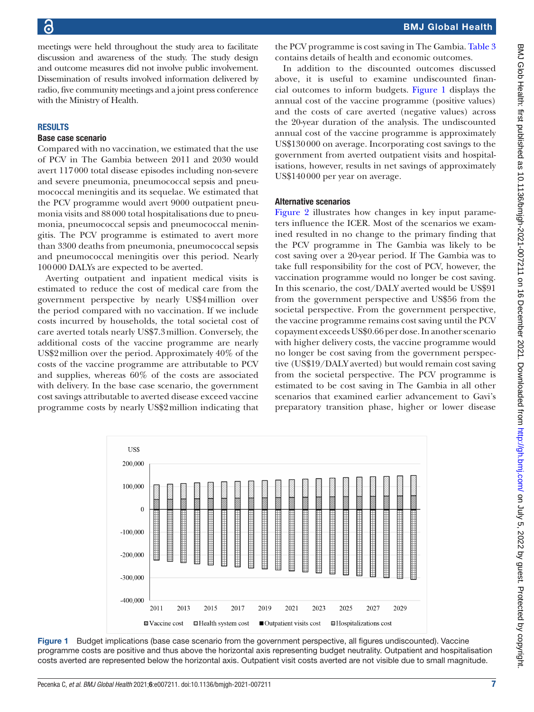meetings were held throughout the study area to facilitate discussion and awareness of the study. The study design and outcome measures did not involve public involvement. Dissemination of results involved information delivered by radio, five community meetings and a joint press conference with the Ministry of Health.

#### **RESULTS**

#### Base case scenario

Compared with no vaccination, we estimated that the use of PCV in The Gambia between 2011 and 2030 would avert 117000 total disease episodes including non-severe and severe pneumonia, pneumococcal sepsis and pneumococcal meningitis and its sequelae. We estimated that the PCV programme would avert 9000 outpatient pneumonia visits and 88000 total hospitalisations due to pneumonia, pneumococcal sepsis and pneumococcal meningitis. The PCV programme is estimated to avert more than 3300 deaths from pneumonia, pneumococcal sepsis and pneumococcal meningitis over this period. Nearly 100000 DALYs are expected to be averted.

Averting outpatient and inpatient medical visits is estimated to reduce the cost of medical care from the government perspective by nearly US\$4million over the period compared with no vaccination. If we include costs incurred by households, the total societal cost of care averted totals nearly US\$7.3million. Conversely, the additional costs of the vaccine programme are nearly US\$2million over the period. Approximately 40% of the costs of the vaccine programme are attributable to PCV and supplies, whereas 60% of the costs are associated with delivery. In the base case scenario, the government cost savings attributable to averted disease exceed vaccine programme costs by nearly US\$2million indicating that

the PCV programme is cost saving in The Gambia. [Table](#page-5-0) 3 contains details of health and economic outcomes.

In addition to the discounted outcomes discussed above, it is useful to examine undiscounted financial outcomes to inform budgets. [Figure](#page-6-0) 1 displays the annual cost of the vaccine programme (positive values) and the costs of care averted (negative values) across the 20-year duration of the analysis. The undiscounted annual cost of the vaccine programme is approximately US\$130000 on average. Incorporating cost savings to the government from averted outpatient visits and hospitalisations, however, results in net savings of approximately US\$140000 per year on average.

#### Alternative scenarios

[Figure](#page-7-0) 2 illustrates how changes in key input parameters influence the ICER. Most of the scenarios we examined resulted in no change to the primary finding that the PCV programme in The Gambia was likely to be cost saving over a 20-year period. If The Gambia was to take full responsibility for the cost of PCV, however, the vaccination programme would no longer be cost saving. In this scenario, the cost/DALY averted would be US\$91 from the government perspective and US\$56 from the societal perspective. From the government perspective, the vaccine programme remains cost saving until the PCV copayment exceeds US\$0.66 per dose. In another scenario with higher delivery costs, the vaccine programme would no longer be cost saving from the government perspective (US\$19/DALY averted) but would remain cost saving from the societal perspective. The PCV programme is estimated to be cost saving in The Gambia in all other scenarios that examined earlier advancement to Gavi's preparatory transition phase, higher or lower disease



<span id="page-6-0"></span>Figure 1 Budget implications (base case scenario from the government perspective, all figures undiscounted). Vaccine programme costs are positive and thus above the horizontal axis representing budget neutrality. Outpatient and hospitalisation costs averted are represented below the horizontal axis. Outpatient visit costs averted are not visible due to small magnitude.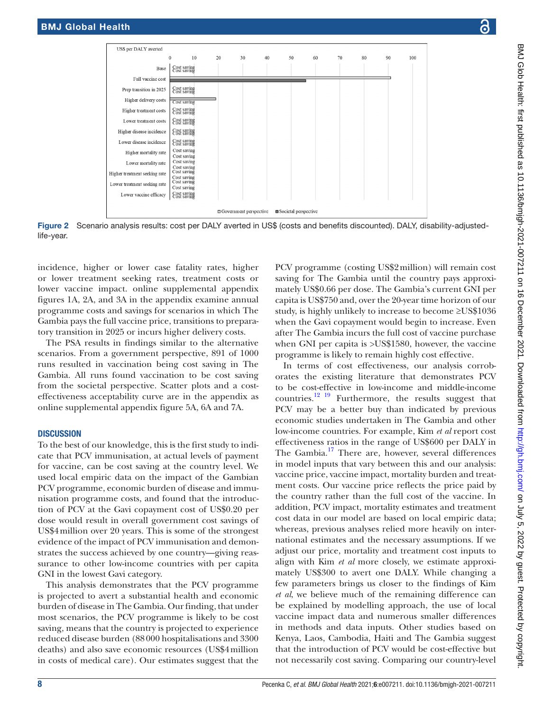

Figure 2 Scenario analysis results: cost per DALY averted in US\$ (costs and benefits discounted). DALY, disability-adjustedlife-year.

incidence, higher or lower case fatality rates, higher or lower treatment seeking rates, treatment costs or lower vaccine impact. [online supplemental appendix](https://dx.doi.org/10.1136/bmjgh-2021-007211)  [figures 1A, 2A, and 3A](https://dx.doi.org/10.1136/bmjgh-2021-007211) in the appendix examine annual programme costs and savings for scenarios in which The Gambia pays the full vaccine price, transitions to preparatory transition in 2025 or incurs higher delivery costs.

The PSA results in findings similar to the alternative scenarios. From a government perspective, 891 of 1000 runs resulted in vaccination being cost saving in The Gambia. All runs found vaccination to be cost saving from the societal perspective. Scatter plots and a costeffectiveness acceptability curve are in the appendix as [online supplemental appendix figure 5A, 6A and 7A.](https://dx.doi.org/10.1136/bmjgh-2021-007211)

#### **DISCUSSION**

To the best of our knowledge, this is the first study to indicate that PCV immunisation, at actual levels of payment for vaccine, can be cost saving at the country level. We used local empiric data on the impact of the Gambian PCV programme, economic burden of disease and immunisation programme costs, and found that the introduction of PCV at the Gavi copayment cost of US\$0.20 per dose would result in overall government cost savings of US\$4million over 20 years. This is some of the strongest evidence of the impact of PCV immunisation and demonstrates the success achieved by one country—giving reassurance to other low-income countries with per capita GNI in the lowest Gavi category.

This analysis demonstrates that the PCV programme is projected to avert a substantial health and economic burden of disease in The Gambia. Our finding, that under most scenarios, the PCV programme is likely to be cost saving, means that the country is projected to experience reduced disease burden (88000 hospitalisations and 3300 deaths) and also save economic resources (US\$4million in costs of medical care). Our estimates suggest that the

<span id="page-7-0"></span>PCV programme (costing US\$2million) will remain cost saving for The Gambia until the country pays approximately US\$0.66 per dose. The Gambia's current GNI per capita is US\$750 and, over the 20-year time horizon of our study, is highly unlikely to increase to become ≥US\$1036 when the Gavi copayment would begin to increase. Even after The Gambia incurs the full cost of vaccine purchase when GNI per capita is >US\$1580, however, the vaccine programme is likely to remain highly cost effective.

In terms of cost effectiveness, our analysis corroborates the existing literature that demonstrates PCV to be cost-effective in low-income and middle-income countries[.12 19](#page-9-8) Furthermore, the results suggest that PCV may be a better buy than indicated by previous economic studies undertaken in The Gambia and other low-income countries. For example, Kim *et al* report cost effectiveness ratios in the range of US\$600 per DALY in The Gambia.<sup>17</sup> There are, however, several differences in model inputs that vary between this and our analysis: vaccine price, vaccine impact, mortality burden and treatment costs. Our vaccine price reflects the price paid by the country rather than the full cost of the vaccine. In addition, PCV impact, mortality estimates and treatment cost data in our model are based on local empiric data; whereas, previous analyses relied more heavily on international estimates and the necessary assumptions. If we adjust our price, mortality and treatment cost inputs to align with Kim *et al* more closely, we estimate approximately US\$300 to avert one DALY. While changing a few parameters brings us closer to the findings of Kim *et al*, we believe much of the remaining difference can be explained by modelling approach, the use of local vaccine impact data and numerous smaller differences in methods and data inputs. Other studies based on Kenya, Laos, Cambodia, Haiti and The Gambia suggest that the introduction of PCV would be cost-effective but not necessarily cost saving. Comparing our country-level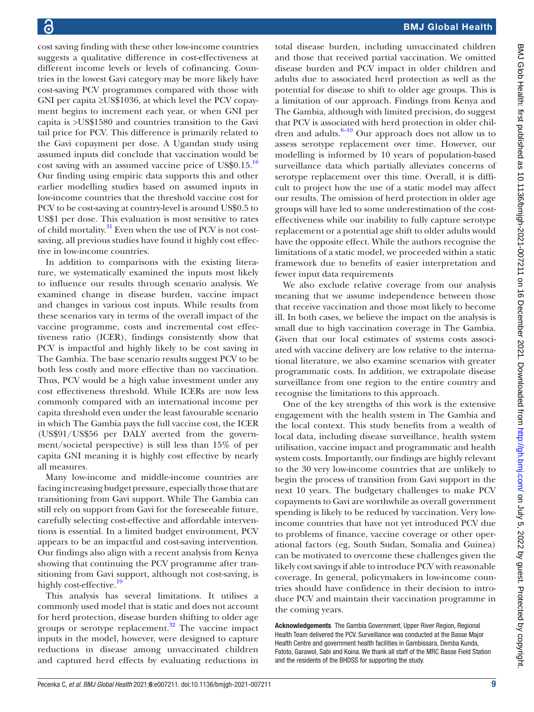cost saving finding with these other low-income countries suggests a qualitative difference in cost-effectiveness at different income levels or levels of cofinancing. Countries in the lowest Gavi category may be more likely have cost-saving PCV programmes compared with those with GNI per capita ≥US\$1036, at which level the PCV copayment begins to increment each year, or when GNI per capita is >US\$1580 and countries transition to the Gavi tail price for PCV. This difference is primarily related to the Gavi copayment per dose. A Ugandan study using assumed inputs did conclude that vaccination would be cost saving with an assumed vaccine price of US\$0.15[.16](#page-9-22) Our finding using empiric data supports this and other earlier modelling studies based on assumed inputs in low-income countries that the threshold vaccine cost for PCV to be cost-saving at country-level is around US\$0.5 to US\$1 per dose. This evaluation is most sensitive to rates of child mortality.<sup>[31](#page-10-1)</sup> Even when the use of PCV is not costsaving, all previous studies have found it highly cost effective in low-income countries.

In addition to comparisons with the existing literature, we systematically examined the inputs most likely to influence our results through scenario analysis. We examined change in disease burden, vaccine impact and changes in various cost inputs. While results from these scenarios vary in terms of the overall impact of the vaccine programme, costs and incremental cost effectiveness ratio (ICER), findings consistently show that PCV is impactful and highly likely to be cost saving in The Gambia. The base scenario results suggest PCV to be both less costly and more effective than no vaccination. Thus, PCV would be a high value investment under any cost effectiveness threshold. While ICERs are now less commonly compared with an international income per capita threshold even under the least favourable scenario in which The Gambia pays the full vaccine cost, the ICER (US\$91/US\$56 per DALY averted from the government/societal perspective) is still less than 15% of per capita GNI meaning it is highly cost effective by nearly all measures.

Many low-income and middle-income countries are facing increasing budget pressure, especially those that are transitioning from Gavi support. While The Gambia can still rely on support from Gavi for the foreseeable future, carefully selecting cost-effective and affordable interventions is essential. In a limited budget environment, PCV appears to be an impactful and cost-saving intervention. Our findings also align with a recent analysis from Kenya showing that continuing the PCV programme after transitioning from Gavi support, although not cost-saving, is highly cost-effective.<sup>[19](#page-9-10)</sup>

This analysis has several limitations. It utilises a commonly used model that is static and does not account for herd protection, disease burden shifting to older age groups or serotype replacement. $32$  The vaccine impact inputs in the model, however, were designed to capture reductions in disease among unvaccinated children and captured herd effects by evaluating reductions in

total disease burden, including unvaccinated children and those that received partial vaccination. We omitted disease burden and PCV impact in older children and adults due to associated herd protection as well as the potential for disease to shift to older age groups. This is a limitation of our approach. Findings from Kenya and The Gambia, although with limited precision, do suggest that PCV is associated with herd protection in older children and adults. $8-10$  Our approach does not allow us to assess serotype replacement over time. However, our modelling is informed by 10 years of population-based surveillance data which partially alleviates concerns of serotype replacement over this time. Overall, it is difficult to project how the use of a static model may affect our results. The omission of herd protection in older age groups will have led to some underestimation of the costeffectiveness while our inability to fully capture serotype replacement or a potential age shift to older adults would have the opposite effect. While the authors recognise the limitations of a static model, we proceeded within a static framework due to benefits of easier interpretation and fewer input data requirements

We also exclude relative coverage from our analysis meaning that we assume independence between those that receive vaccination and those most likely to become ill. In both cases, we believe the impact on the analysis is small due to high vaccination coverage in The Gambia. Given that our local estimates of systems costs associated with vaccine delivery are low relative to the international literature, we also examine scenarios with greater programmatic costs. In addition, we extrapolate disease surveillance from one region to the entire country and recognise the limitations to this approach.

One of the key strengths of this work is the extensive engagement with the health system in The Gambia and the local context. This study benefits from a wealth of local data, including disease surveillance, health system utilisation, vaccine impact and programmatic and health system costs. Importantly, our findings are highly relevant to the 30 very low-income countries that are unlikely to begin the process of transition from Gavi support in the next 10 years. The budgetary challenges to make PCV copayments to Gavi are worthwhile as overall government spending is likely to be reduced by vaccination. Very lowincome countries that have not yet introduced PCV due to problems of finance, vaccine coverage or other operational factors (eg, South Sudan, Somalia and Guinea) can be motivated to overcome these challenges given the likely cost savings if able to introduce PCV with reasonable coverage. In general, policymakers in low-income countries should have confidence in their decision to introduce PCV and maintain their vaccination programme in the coming years.

Acknowledgements The Gambia Government, Upper River Region, Regional Health Team delivered the PCV. Surveillance was conducted at the Basse Major Health Centre and government health facilities in Gambissara, Demba Kunda, Fatoto, Garawol, Sabi and Koina. We thank all staff of the MRC Basse Field Station and the residents of the BHDSS for supporting the study.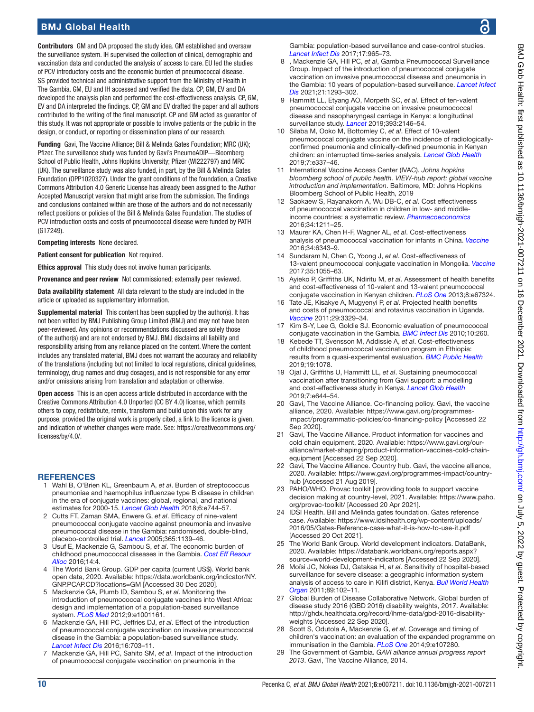Contributors GM and DA proposed the study idea. GM established and oversaw the surveillance system. IH supervised the collection of clinical, demographic and vaccination data and conducted the analysis of access to care. EU led the studies of PCV introductory costs and the economic burden of pneumococcal disease. SS provided technical and administrative support from the Ministry of Health in The Gambia. GM, EU and IH accessed and verified the data. CP, GM, EV and DA developed the analysis plan and performed the cost-effectiveness analysis. CP, GM, EV and DA interpreted the findings. CP, GM and EV drafted the paper and all authors contributed to the writing of the final manuscript. CP and GM acted as guarantor of this study. It was not appropriate or possible to involve patients or the public in the design, or conduct, or reporting or dissemination plans of our research.

Funding Gavi, The Vaccine Alliance; Bill & Melinda Gates Foundation; MRC (UK); Pfizer. The surveillance study was funded by Gavi's PneumoADIP—Bloomberg School of Public Health, Johns Hopkins University; Pfizer (WI222797) and MRC (UK). The surveillance study was also funded, in part, by the Bill & Melinda Gates Foundation (OPP1020327). Under the grant conditions of the foundation, a Creative Commons Attribution 4.0 Generic License has already been assigned to the Author Accepted Manuscript version that might arise from the submission. The findings and conclusions contained within are those of the authors and do not necessarily reflect positions or policies of the Bill & Melinda Gates Foundation. The studies of PCV introduction costs and costs of pneumococcal disease were funded by PATH (G17249).

Competing interests None declared.

Patient consent for publication Not required.

Ethics approval This study does not involve human participants.

Provenance and peer review Not commissioned; externally peer reviewed.

Data availability statement All data relevant to the study are included in the article or uploaded as supplementary information.

Supplemental material This content has been supplied by the author(s). It has not been vetted by BMJ Publishing Group Limited (BMJ) and may not have been peer-reviewed. Any opinions or recommendations discussed are solely those of the author(s) and are not endorsed by BMJ. BMJ disclaims all liability and responsibility arising from any reliance placed on the content. Where the content includes any translated material, BMJ does not warrant the accuracy and reliability of the translations (including but not limited to local regulations, clinical guidelines, terminology, drug names and drug dosages), and is not responsible for any error and/or omissions arising from translation and adaptation or otherwise.

Open access This is an open access article distributed in accordance with the Creative Commons Attribution 4.0 Unported (CC BY 4.0) license, which permits others to copy, redistribute, remix, transform and build upon this work for any purpose, provided the original work is properly cited, a link to the licence is given, and indication of whether changes were made. See: [https://creativecommons.org/](https://creativecommons.org/licenses/by/4.0/) [licenses/by/4.0/](https://creativecommons.org/licenses/by/4.0/).

#### **REFERENCES**

- <span id="page-9-0"></span>1 Wahl B, O'Brien KL, Greenbaum A, *et al*. Burden of streptococcus pneumoniae and haemophilus influenzae type B disease in children in the era of conjugate vaccines: global, regional, and national estimates for 2000-15. *[Lancet Glob Health](http://dx.doi.org/10.1016/S2214-109X(18)30247-X)* 2018;6:e744–57.
- <span id="page-9-1"></span>2 Cutts FT, Zaman SMA, Enwere G, *et al*. Efficacy of nine-valent pneumococcal conjugate vaccine against pneumonia and invasive pneumococcal disease in the Gambia: randomised, double-blind, placebo-controlled trial. *[Lancet](http://dx.doi.org/10.1016/S0140-6736(05)71876-6)* 2005;365:1139–46.
- <span id="page-9-2"></span>3 Usuf E, Mackenzie G, Sambou S, *et al*. The economic burden of childhood pneumococcal diseases in the Gambia. *[Cost Eff Resour](http://dx.doi.org/10.1186/s12962-016-0053-4)  [Alloc](http://dx.doi.org/10.1186/s12962-016-0053-4)* 2016;14:4.
- <span id="page-9-3"></span>4 The World Bank Group. GDP per capita (current US\$). World bank open data, 2020. Available: [https://data.worldbank.org/indicator/NY.](https://data.worldbank.org/indicator/NY.GNP.PCAP.CD?locations=GM) [GNP.PCAP.CD?locations=GM](https://data.worldbank.org/indicator/NY.GNP.PCAP.CD?locations=GM) [Accessed 30 Dec 2020].
- <span id="page-9-4"></span>5 Mackenzie GA, Plumb ID, Sambou S, *et al*. Monitoring the introduction of pneumococcal conjugate vaccines into West Africa: design and implementation of a population-based surveillance system. *[PLoS Med](http://dx.doi.org/10.1371/journal.pmed.1001161)* 2012;9:e1001161.
- 6 Mackenzie GA, Hill PC, Jeffries DJ, *et al*. Effect of the introduction of pneumococcal conjugate vaccination on invasive pneumococcal disease in the Gambia: a population-based surveillance study. *[Lancet Infect Dis](http://dx.doi.org/10.1016/S1473-3099(16)00054-2)* 2016;16:703–11.
- <span id="page-9-18"></span>7 Mackenzie GA, Hill PC, Sahito SM, *et al*. Impact of the introduction of pneumococcal conjugate vaccination on pneumonia in the

Gambia: population-based surveillance and case-control studies. *[Lancet Infect Dis](http://dx.doi.org/10.1016/S1473-3099(17)30321-3)* 2017;17:965–73.

- <span id="page-9-5"></span>8 , Mackenzie GA, Hill PC, *et al*, Gambia Pneumococcal Surveillance Group. Impact of the introduction of pneumococcal conjugate vaccination on invasive pneumococcal disease and pneumonia in the Gambia: 10 years of population-based surveillance. *[Lancet Infect](http://dx.doi.org/10.1016/S1473-3099(20)30880-X) [Dis](http://dx.doi.org/10.1016/S1473-3099(20)30880-X)* 2021;21:1293–302.
- <span id="page-9-6"></span>9 Hammitt LL, Etyang AO, Morpeth SC, *et al*. Effect of ten-valent pneumococcal conjugate vaccine on invasive pneumococcal disease and nasopharyngeal carriage in Kenya: a longitudinal surveillance study. *[Lancet](http://dx.doi.org/10.1016/S0140-6736(18)33005-8)* 2019;393:2146–54.
- 10 Silaba M, Ooko M, Bottomley C, *et al*. Effect of 10-valent pneumococcal conjugate vaccine on the incidence of radiologicallyconfirmed pneumonia and clinically-defined pneumonia in Kenyan children: an interrupted time-series analysis. *[Lancet Glob Health](http://dx.doi.org/10.1016/S2214-109X(18)30491-1)* 2019;7:e337–46.
- <span id="page-9-7"></span>11 International Vaccine Access Center (IVAC). *Johns hopkins bloomberg school of public health. VIEW-hub report: global vaccine introduction and implementation*. Baltimore, MD: Johns Hopkins Bloomberg School of Public Health, 2019
- <span id="page-9-8"></span>12 Saokaew S, Rayanakorn A, Wu DB-C, *et al*. Cost effectiveness of pneumococcal vaccination in children in low- and middleincome countries: a systematic review. *[Pharmacoeconomics](http://dx.doi.org/10.1007/s40273-016-0439-3)* 2016;34:1211–25.
- 13 Maurer KA, Chen H-F, Wagner AL, *et al*. Cost-effectiveness analysis of pneumococcal vaccination for infants in China. *[Vaccine](http://dx.doi.org/10.1016/j.vaccine.2016.10.051)* 2016;34:6343–9.
- 14 Sundaram N, Chen C, Yoong J, *et al*. Cost-effectiveness of 13-valent pneumococcal conjugate vaccination in Mongolia. *[Vaccine](http://dx.doi.org/10.1016/j.vaccine.2016.12.070)* 2017;35:1055–63.
- <span id="page-9-9"></span>15 Ayieko P, Griffiths UK, Ndiritu M, *et al*. Assessment of health benefits and cost-effectiveness of 10-valent and 13-valent pneumococcal conjugate vaccination in Kenyan children. *[PLoS One](http://dx.doi.org/10.1371/journal.pone.0067324)* 2013;8:e67324.
- <span id="page-9-22"></span>16 Tate JE, Kisakye A, Mugyenyi P, *et al*. Projected health benefits and costs of pneumococcal and rotavirus vaccination in Uganda. *[Vaccine](http://dx.doi.org/10.1016/j.vaccine.2010.12.122)* 2011;29:3329–34.
- <span id="page-9-21"></span>17 Kim S-Y, Lee G, Goldie SJ. Economic evaluation of pneumococcal conjugate vaccination in the Gambia. *[BMC Infect Dis](http://dx.doi.org/10.1186/1471-2334-10-260)* 2010;10:260.
- 18 Kebede TT, Svensson M, Addissie A, *et al*. Cost-effectiveness of childhood pneumococcal vaccination program in Ethiopia: results from a quasi-experimental evaluation. *[BMC Public Health](http://dx.doi.org/10.1186/s12889-019-7423-8)* 2019;19:1078.
- <span id="page-9-10"></span>19 Ojal J, Griffiths U, Hammitt LL, *et al*. Sustaining pneumococcal vaccination after transitioning from Gavi support: a modelling and cost-effectiveness study in Kenya. *[Lancet Glob Health](http://dx.doi.org/10.1016/S2214-109X(18)30562-X)* 2019;7:e644–54.
- <span id="page-9-11"></span>20 Gavi, The Vaccine Alliance. Co-financing policy. Gavi, the vaccine alliance, 2020. Available: [https://www.gavi.org/programmes](https://www.gavi.org/programmes-impact/programmatic-policies/co-financing-policy)[impact/programmatic-policies/co-financing-policy](https://www.gavi.org/programmes-impact/programmatic-policies/co-financing-policy) [Accessed 22 Sep 2020].
- <span id="page-9-20"></span>21 Gavi, The Vaccine Alliance. Product information for vaccines and cold chain equipment, 2020. Available: [https://www.gavi.org/our](https://www.gavi.org/our-alliance/market-shaping/product-information-vaccines-cold-chain-equipment)[alliance/market-shaping/product-information-vaccines-cold-chain](https://www.gavi.org/our-alliance/market-shaping/product-information-vaccines-cold-chain-equipment)[equipment](https://www.gavi.org/our-alliance/market-shaping/product-information-vaccines-cold-chain-equipment) [Accessed 22 Sep 2020].
- <span id="page-9-12"></span>22 Gavi, The Vaccine Alliance. Country hub. Gavi, the vaccine alliance, 2020. Available: [https://www.gavi.org/programmes-impact/country](https://www.gavi.org/programmes-impact/country-hub)[hub](https://www.gavi.org/programmes-impact/country-hub) [Accessed 21 Aug 2019].
- <span id="page-9-13"></span>23 PAHO/WHO. Provac toolkit | providing tools to support vaccine decision making at country-level, 2021. Available: [https://www.paho.](https://www.paho.org/provac-toolkit/) [org/provac-toolkit/](https://www.paho.org/provac-toolkit/) [Accessed 20 Apr 2021].
- <span id="page-9-14"></span>24 IDSI Health. Bill and Melinda gates foundation. Gates reference case. Available: [https://www.idsihealth.org/wp-content/uploads/](https://www.idsihealth.org/wp-content/uploads/2016/05/Gates-Reference-case-what-it-is-how-to-use-it.pdf) [2016/05/Gates-Reference-case-what-it-is-how-to-use-it.pdf](https://www.idsihealth.org/wp-content/uploads/2016/05/Gates-Reference-case-what-it-is-how-to-use-it.pdf)  [Accessed 20 Oct 2021].
- <span id="page-9-15"></span>25 The World Bank Group. World development indicators. DataBank, 2020. Available: [https://databank.worldbank.org/reports.aspx?](https://databank.worldbank.org/reports.aspx?source=world-development-indicators) [source=world-development-indicators](https://databank.worldbank.org/reports.aspx?source=world-development-indicators) [Accessed 22 Sep 2020].
- <span id="page-9-16"></span>26 Moïsi JC, Nokes DJ, Gatakaa H, *et al*. Sensitivity of hospital-based surveillance for severe disease: a geographic information system analysis of access to care in Kilifi district, Kenya. *[Bull World Health](http://dx.doi.org/10.2471/BLT.10.080796)  [Organ](http://dx.doi.org/10.2471/BLT.10.080796)* 2011;89:102–11.
- <span id="page-9-17"></span>27 Global Burden of Disease Collaborative Network. Global burden of disease study 2016 (GBD 2016) disability weights, 2017. Available: [http://ghdx.healthdata.org/record/ihme-data/gbd-2016-disability](http://ghdx.healthdata.org/record/ihme-data/gbd-2016-disability-weights)[weights](http://ghdx.healthdata.org/record/ihme-data/gbd-2016-disability-weights) [Accessed 22 Sep 2020].
- <span id="page-9-19"></span>28 Scott S, Odutola A, Mackenzie G, *et al*. Coverage and timing of children's vaccination: an evaluation of the expanded programme on immunisation in the Gambia. *[PLoS One](http://dx.doi.org/10.1371/journal.pone.0107280)* 2014;9:e107280.
- 29 The Government of Gambia. *GAVI alliance annual progress report 2013*. Gavi, The Vaccine Alliance, 2014.